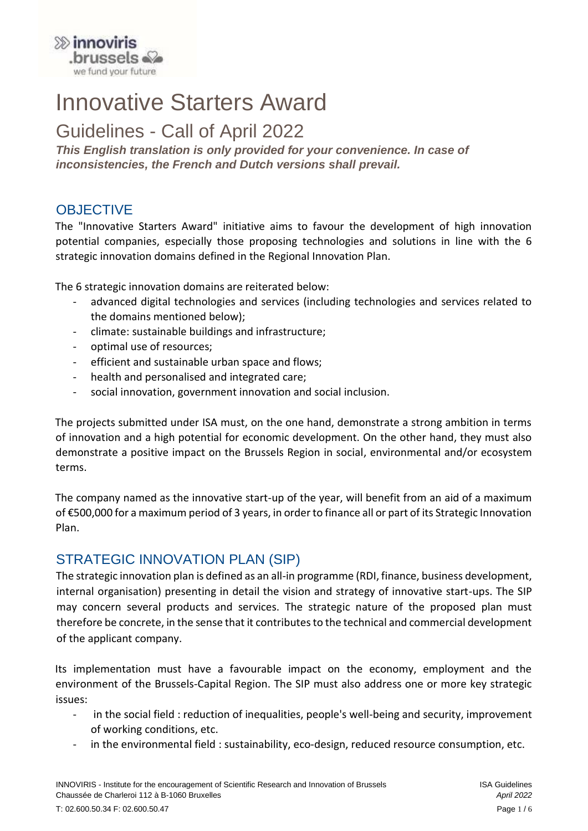

# Innovative Starters Award

Guidelines - Call of April 2022

*This English translation is only provided for your convenience. In case of inconsistencies, the French and Dutch versions shall prevail.*

## **OBJECTIVE**

The "Innovative Starters Award" initiative aims to favour the development of high innovation potential companies, especially those proposing technologies and solutions in line with the 6 strategic innovation domains defined in the Regional Innovation Plan.

The 6 strategic innovation domains are reiterated below:

- advanced digital technologies and services (including technologies and services related to the domains mentioned below);
- climate: sustainable buildings and infrastructure;
- optimal use of resources;
- efficient and sustainable urban space and flows;
- health and personalised and integrated care;
- social innovation, government innovation and social inclusion.

The projects submitted under ISA must, on the one hand, demonstrate a strong ambition in terms of innovation and a high potential for economic development. On the other hand, they must also demonstrate a positive impact on the Brussels Region in social, environmental and/or ecosystem terms.

The company named as the innovative start-up of the year, will benefit from an aid of a maximum of €500,000 for a maximum period of 3 years, in order to finance all or part of its Strategic Innovation Plan.

# STRATEGIC INNOVATION PLAN (SIP)

The strategic innovation plan is defined as an all-in programme (RDI, finance, business development, internal organisation) presenting in detail the vision and strategy of innovative start-ups. The SIP may concern several products and services. The strategic nature of the proposed plan must therefore be concrete, in the sense that it contributes to the technical and commercial development of the applicant company.

Its implementation must have a favourable impact on the economy, employment and the environment of the Brussels-Capital Region. The SIP must also address one or more key strategic issues:

- in the social field : reduction of inequalities, people's well-being and security, improvement of working conditions, etc.
- in the environmental field : sustainability, eco-design, reduced resource consumption, etc.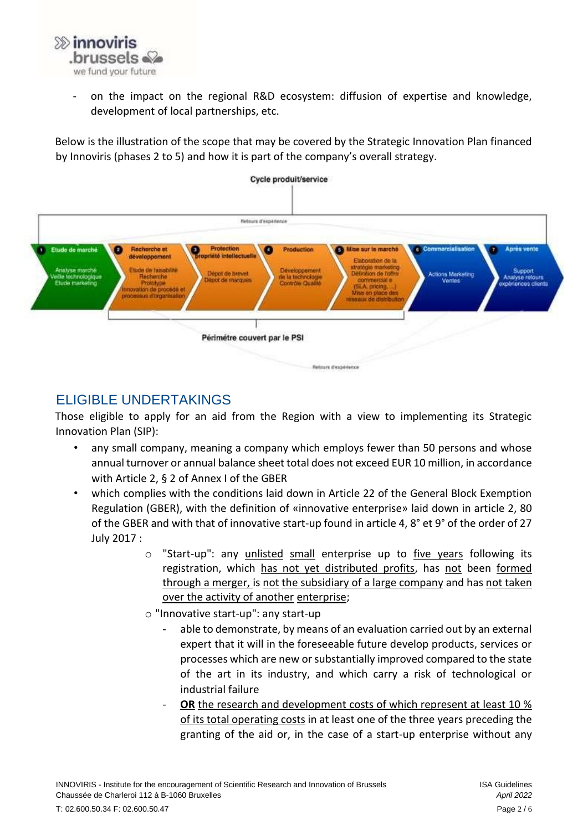

- on the impact on the regional R&D ecosystem: diffusion of expertise and knowledge, development of local partnerships, etc.

Below is the illustration of the scope that may be covered by the Strategic Innovation Plan financed by Innoviris (phases 2 to 5) and how it is part of the company's overall strategy.



# ELIGIBLE UNDERTAKINGS

Those eligible to apply for an aid from the Region with a view to implementing its Strategic Innovation Plan (SIP):

- any small company, meaning a company which employs fewer than 50 persons and whose annual turnover or annual balance sheet total does not exceed EUR 10 million, in accordance with Article 2, § 2 of Annex I of the GBER
- which complies with the conditions laid down in Article 22 of the General Block Exemption Regulation (GBER), with the definition of «innovative enterprise» laid down in article 2, 80 of the GBER and with that of innovative start-up found in article 4, 8° et 9° of the order of 27 July 2017 :
	- o "Start-up": any unlisted small enterprise up to five years following its registration, which has not yet distributed profits, has not been formed through a merger, is not the subsidiary of a large company and has not taken over the activity of another enterprise;
	- o "Innovative start-up": any start-up
		- able to demonstrate, by means of an evaluation carried out by an external expert that it will in the foreseeable future develop products, services or processes which are new or substantially improved compared to the state of the art in its industry, and which carry a risk of technological or industrial failure
		- **OR** the research and development costs of which represent at least 10 % of its total operating costs in at least one of the three years preceding the granting of the aid or, in the case of a start-up enterprise without any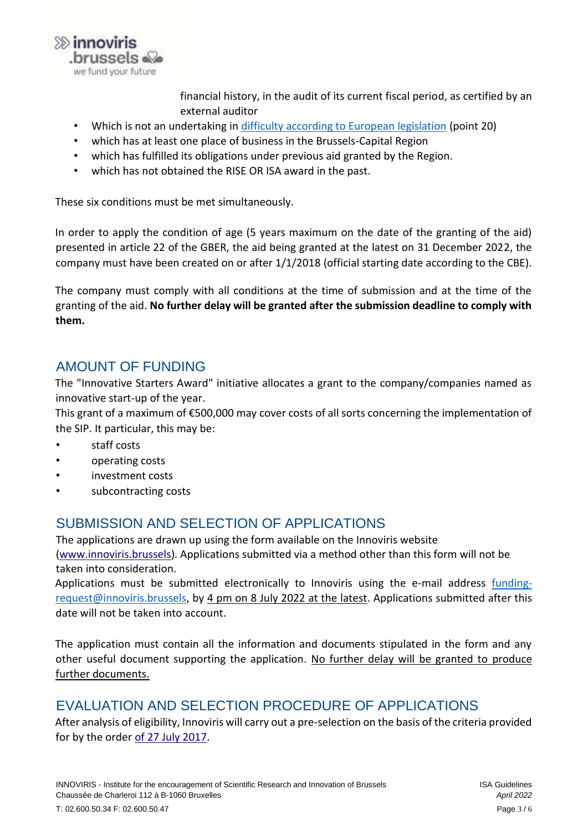

financial history, in the audit of its current fiscal period, as certified by an external auditor

- Which is not an undertaking in [difficulty according to European legislation](https://eur-lex.europa.eu/legal-content/EN/TXT/HTML/?uri=CELEX:52014XC0731(01)&from=EN) (point 20)
- which has at least one place of business in the Brussels-Capital Region
- which has fulfilled its obligations under previous aid granted by the Region.
- which has not obtained the RISE OR ISA award in the past.

These six conditions must be met simultaneously.

In order to apply the condition of age (5 years maximum on the date of the granting of the aid) presented in article 22 of the GBER, the aid being granted at the latest on 31 December 2022, the company must have been created on or after 1/1/2018 (official starting date according to the CBE).

The company must comply with all conditions at the time of submission and at the time of the granting of the aid. **No further delay will be granted after the submission deadline to comply with them.** 

#### AMOUNT OF FUNDING

The "Innovative Starters Award" initiative allocates a grant to the company/companies named as innovative start-up of the year.

This grant of a maximum of €500,000 may cover costs of all sorts concerning the implementation of the SIP. It particular, this may be:

- staff costs
- operating costs
- investment costs
- subcontracting costs

## SUBMISSION AND SELECTION OF APPLICATIONS

The applications are drawn up using the form available on the Innoviris website [\(www.innoviris.brussels\).](http://www.innoviris.brussels/) Applications submitted via a method other than this form will not be taken into consideration.

Applications must be submitted electronically to Innoviris using the e-mail address [funding](mailto:funding-request@innoviris.brussels)[request@innoviris.brussels,](mailto:funding-request@innoviris.brussels) by 4 pm on 8 July 2022 at the latest. Applications submitted after this date will not be taken into account.

The application must contain all the information and documents stipulated in the form and any other useful document supporting the application. No further delay will be granted to produce further documents.

# EVALUATION AND SELECTION PROCEDURE OF APPLICATIONS

After analysis of eligibility, Innoviris will carry out a pre-selection on the basis of the criteria provided for by the order of 27 July 2017.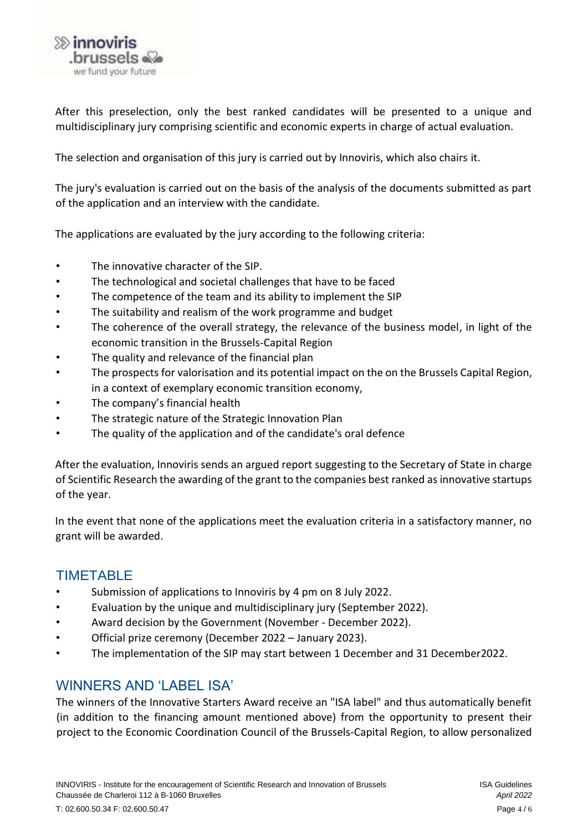

After this preselection, only the best ranked candidates will be presented to a unique and multidisciplinary jury comprising scientific and economic experts in charge of actual evaluation.

The selection and organisation of this jury is carried out by Innoviris, which also chairs it.

The jury's evaluation is carried out on the basis of the analysis of the documents submitted as part of the application and an interview with the candidate.

The applications are evaluated by the jury according to the following criteria:

- The innovative character of the SIP.
- The technological and societal challenges that have to be faced
- The competence of the team and its ability to implement the SIP
- The suitability and realism of the work programme and budget
- The coherence of the overall strategy, the relevance of the business model, in light of the economic transition in the Brussels-Capital Region
- The quality and relevance of the financial plan
- The prospects for valorisation and its potential impact on the on the Brussels Capital Region, in a context of exemplary economic transition economy,
- The company's financial health
- The strategic nature of the Strategic Innovation Plan
- The quality of the application and of the candidate's oral defence

After the evaluation, Innoviris sends an argued report suggesting to the Secretary of State in charge of Scientific Research the awarding of the grant to the companies best ranked as innovative startups of the year.

In the event that none of the applications meet the evaluation criteria in a satisfactory manner, no grant will be awarded.

# **TIMETABLE**

- Submission of applications to Innoviris by 4 pm on 8 July 2022.
- Evaluation by the unique and multidisciplinary jury (September 2022).
- Award decision by the Government (November December 2022).
- Official prize ceremony (December 2022 January 2023).
- The implementation of the SIP may start between 1 December and 31 December2022.

# WINNERS AND 'LABEL ISA'

The winners of the Innovative Starters Award receive an "ISA label" and thus automatically benefit (in addition to the financing amount mentioned above) from the opportunity to present their project to the Economic Coordination Council of the Brussels-Capital Region, to allow personalized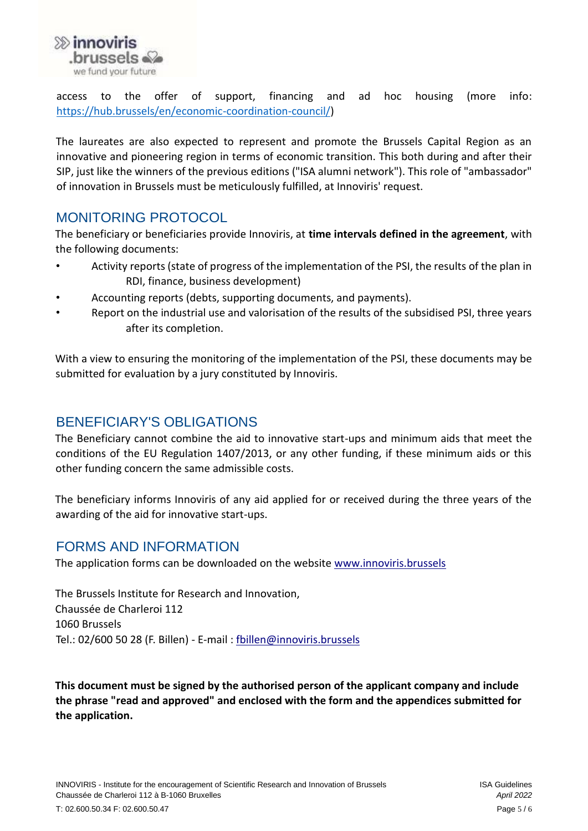

access to the offer of support, financing and ad hoc housing (more info: [https://hub.brussels/en/economic-coordination-council/\)](https://hub.brussels/en/economic-coordination-council/)

The laureates are also expected to represent and promote the Brussels Capital Region as an innovative and pioneering region in terms of economic transition. This both during and after their SIP, just like the winners of the previous editions ("ISA alumni network"). This role of "ambassador" of innovation in Brussels must be meticulously fulfilled, at Innoviris' request.

## MONITORING PROTOCOL

The beneficiary or beneficiaries provide Innoviris, at **time intervals defined in the agreement**, with the following documents:

- Activity reports (state of progress of the implementation of the PSI, the results of the plan in RDI, finance, business development)
- Accounting reports (debts, supporting documents, and payments).
- Report on the industrial use and valorisation of the results of the subsidised PSI, three years after its completion.

With a view to ensuring the monitoring of the implementation of the PSI, these documents may be submitted for evaluation by a jury constituted by Innoviris.

#### BENEFICIARY'S OBLIGATIONS

The Beneficiary cannot combine the aid to innovative start-ups and minimum aids that meet the conditions of the EU Regulation 1407/2013, or any other funding, if these minimum aids or this other funding concern the same admissible costs.

The beneficiary informs Innoviris of any aid applied for or received during the three years of the awarding of the aid for innovative start-ups.

#### FORMS AND INFORMATION

The application forms can be downloaded on the website [www.innoviris.brussels](http://www.innoviris.brussels/)

The Brussels Institute for Research and Innovation, Chaussée de Charleroi 112 1060 Brussels Tel.: 02/600 50 28 (F. Billen) - E-mail : [fbillen@innoviris.brussels](mailto:fbillen@innoviris.brussels)

**This document must be signed by the authorised person of the applicant company and include the phrase "read and approved" and enclosed with the form and the appendices submitted for the application.**